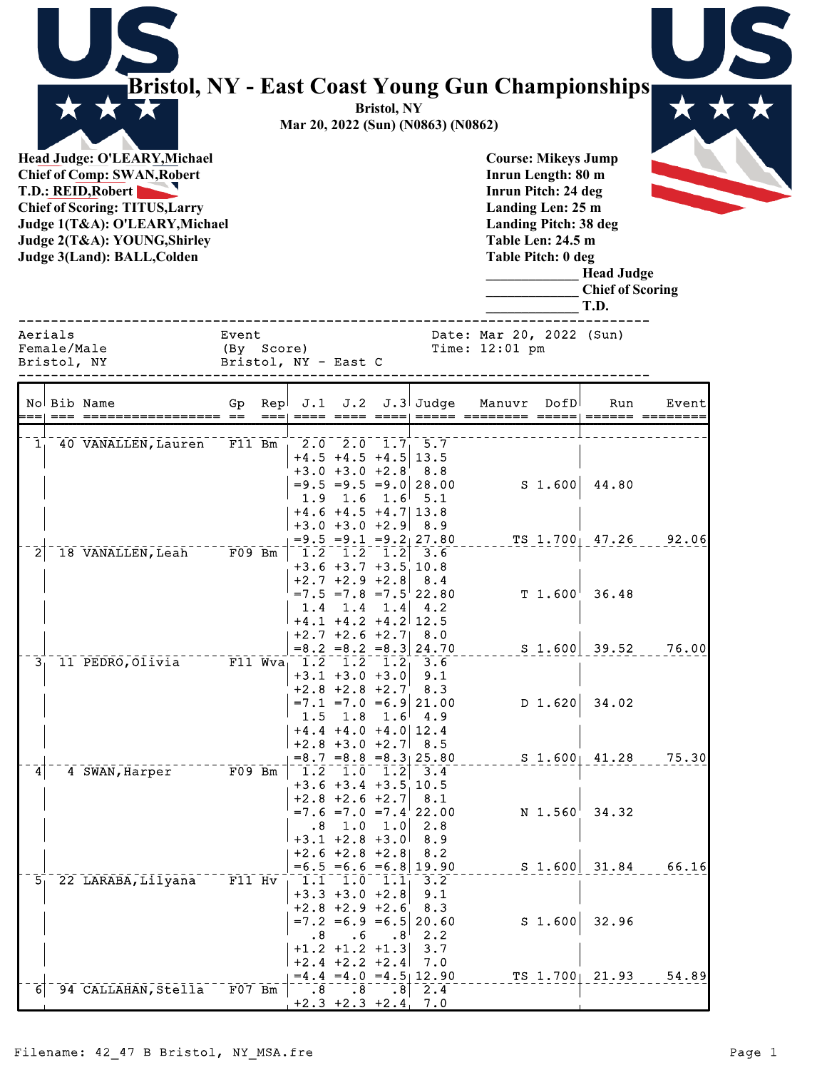|                |                                       | Bristol, NY - East Coast Young Gun Championships                                                                                                                                                                                   |                     |                                               |                                                                                                                                                              | <b>Bristol, NY</b> | Mar 20, 2022 (Sun) (N0863) (N0862)                                                                 |                                                                                                                                                                         |           |                                                      |       |
|----------------|---------------------------------------|------------------------------------------------------------------------------------------------------------------------------------------------------------------------------------------------------------------------------------|---------------------|-----------------------------------------------|--------------------------------------------------------------------------------------------------------------------------------------------------------------|--------------------|----------------------------------------------------------------------------------------------------|-------------------------------------------------------------------------------------------------------------------------------------------------------------------------|-----------|------------------------------------------------------|-------|
|                |                                       | Head Judge: O'LEARY, Michael<br><b>Chief of Comp: SWAN, Robert</b><br>T.D.: REID, Robert<br><b>Chief of Scoring: TITUS, Larry</b><br>Judge 1(T&A): O'LEARY, Michael<br>Judge 2(T&A): YOUNG, Shirley<br>Judge 3(Land): BALL, Colden |                     |                                               |                                                                                                                                                              |                    |                                                                                                    | <b>Course: Mikeys Jump</b><br>Inrun Length: 80 m<br>Inrun Pitch: 24 deg<br>Landing Len: 25 m<br><b>Landing Pitch: 38 deg</b><br>Table Len: 24.5 m<br>Table Pitch: 0 deg |           | <b>Head Judge</b><br><b>Chief of Scoring</b><br>T.D. |       |
|                | Aerials<br>Female/Male<br>Bristol, NY |                                                                                                                                                                                                                                    | Event<br>(By Score) |                                               | Bristol, NY - East C                                                                                                                                         |                    |                                                                                                    | Date: Mar 20, 2022 (Sun)<br>Time: 12:01 pm                                                                                                                              |           |                                                      |       |
|                |                                       | No Bib Name                                                                                                                                                                                                                        | Gp                  | $\mathsf{Rep}{} \mathbb{J}.1$<br>$===  ==== $ | J.2                                                                                                                                                          |                    | $J.3$ Judge                                                                                        | Manuvr                                                                                                                                                                  | DofD      | Run<br>$=$ ===== =======                             | Event |
| 1 <sub>1</sub> |                                       | 40 VANALLEN, Lauren                                                                                                                                                                                                                | $F11$ Bm            | 1.9                                           | $2.0$ $2.0$ $1.7$ $5.7$<br>$+4.5$ +4.5 +4.5<br>$+3.0 +3.0 +2.8$<br>1.6<br>$+4.6 +4.5 +4.7$ 13.8                                                              | $1.6^{\circ}$      | 13.5<br>8.8<br>$= 9.5 = 9.5 = 9.0$ 28.00<br>5.1                                                    |                                                                                                                                                                         | $S$ 1.600 | 44.80                                                |       |
| 2              |                                       | 18 VANALLEN, Leah                                                                                                                                                                                                                  | $F09$ Bm            | 1.4                                           | $+3.0 +3.0 +2.9$<br>$\overline{1.2}$ $\overline{1.2}$ $\overline{1.2}$<br>$+3.6 +3.7 +3.510.8$<br>$+2.7$ $+2.9$ $+2.8$<br>1.4<br>$+4.1$ $+4.2$ $+4.2$ $12.5$ | 1.4                | 8.9<br>$=9.5 = 9.1 = 9.2 \times 27.80$<br>3.6<br>8.4<br>$=7.5$ $=7.8$ $=7.5$ 22.80<br>4.2          |                                                                                                                                                                         |           | TS 1.700 47.26<br>$T$ 1.600 36.48                    | 92.06 |
| 3 <sub>1</sub> |                                       | 11 PEDRO, Olivia                                                                                                                                                                                                                   |                     | $F11$ Wva <sub>1</sub> 1.2<br>1.5             | $+2.7 + 2.6 + 2.7$<br>1.2<br>$+3.1 +3.0 +3.0$<br>$+2.8$ +2.8 +2.7<br>1.8                                                                                     | 1.2 <sub>1</sub>   | 8.0<br>$= 8.2 = 8.2 = 8.3   24.70$<br>3.6<br>9.1<br>8.3<br>$=7.1$ =7.0 =6.9 21.00<br>$1.6^{+}$ 4.9 |                                                                                                                                                                         | D 1.620   | $S$ 1.600 39.52<br>34.02                             | 76.00 |
| 4              |                                       | 4 SWAN, Harper                                                                                                                                                                                                                     | $F09$ Bm            |                                               | $+4.4 +4.0 +4.0   12.4$<br>$+2.8 +3.0 +2.7$<br>$\left[1.2\  \  \, 1.0\  \  \, 1.2\right]$<br>$+3.6 +3.4 +3.5$ 10.5<br>$+2.8$ +2.6 +2.7                       |                    | 8.5<br>$= 8.7$ $= 8.8$ $= 8.3$ 25.80<br>3.4<br>8.1                                                 |                                                                                                                                                                         |           | $S$ 1.600 41.28                                      | 75.30 |
| 5 <sub>1</sub> |                                       | 22 LARABA, Lilyana                                                                                                                                                                                                                 | $F11$ $Hv$          |                                               | $.8$ 1.0 1.0<br>$+3.1 +2.8 +3.0$<br>$+2.6 + 2.8 + 2.8$ 8.2<br>$1.1 \quad 1.0 \quad 1.1$                                                                      |                    | $=7.6 = 7.0 = 7.4$ 22.00<br>2.8<br>8.9<br>$=6.5 = 6.6 = 6.8 \mid 19.90$<br>3.2                     |                                                                                                                                                                         | N 1.560   | 34.32<br>$S$ 1.600 31.84                             | 66.16 |
|                |                                       |                                                                                                                                                                                                                                    |                     | $\cdot$ 8                                     | $+3.3 +3.0 +2.8$<br>$+2.8 +2.9 +2.6$<br>. 6<br>$+1.2$ $+1.2$ $+1.3$<br>$+2.4$ +2.2 +2.4                                                                      | .8 <sup>1</sup>    | 9.1<br>8.3<br>$=7.2$ = 6.9 = 6.5 20.60<br>2.2<br>3.7<br>7.0                                        |                                                                                                                                                                         | $S$ 1.600 | 32.96                                                |       |
| 6              |                                       | 94 CALLAHAN, Stella                                                                                                                                                                                                                | $F07$ Bm            | .8 <sub>1</sub>                               | $\overline{.8}$<br>$+2.3 +2.3 +2.4$ , 7.0                                                                                                                    |                    | $=4.4$ $=4.0$ $=4.5$ 12.90<br>.8 2.4                                                               |                                                                                                                                                                         |           | $TS$ 1.700 21.93                                     | 54.89 |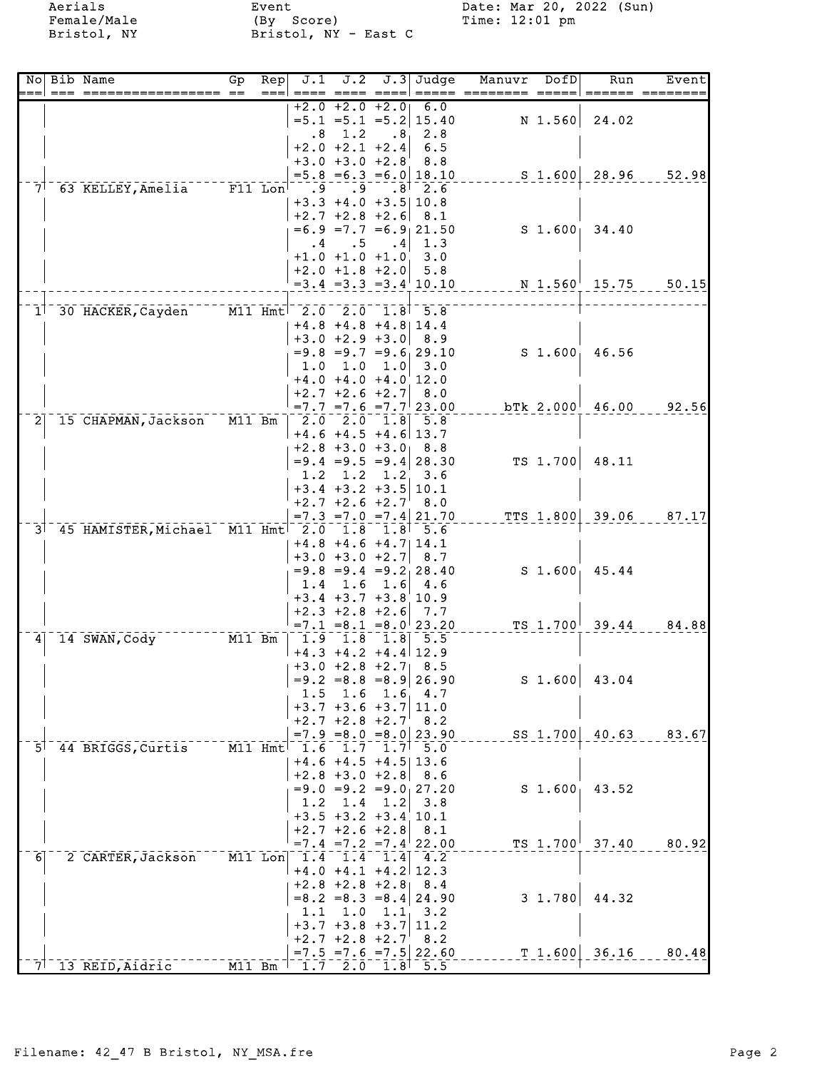Aerials Female/Male Bristol, NY Event<br>(By Score)<br>Bristol, NY - East C

Date: Mar 20, 2022 (Sun)<br>Time: 12:01 pm

|                |  | No Bib Name<br>$== = = == ==$                                                 | GP<br>$=$  | $\overline{\text{Rep}}$<br>$==$ |                     | J.1 J.2                                               |     | $J.3$ Judge<br>==== ==== ====  ===== ====: | Manuvr | DofD        | Run                             | Event |
|----------------|--|-------------------------------------------------------------------------------|------------|---------------------------------|---------------------|-------------------------------------------------------|-----|--------------------------------------------|--------|-------------|---------------------------------|-------|
|                |  |                                                                               |            |                                 |                     | $+2.0 + 2.0 + 2.0$                                    |     | 6.0                                        |        |             |                                 |       |
|                |  |                                                                               |            |                                 | . 8                 | 1.2                                                   |     | $=5.1$ $=5.1$ $=5.2$ 15.40<br>$.81$ 2.8    |        | N 1.560     | 24.02                           |       |
|                |  |                                                                               |            |                                 | $+2.0 +2.1 +2.4$    |                                                       | 6.5 |                                            |        |             |                                 |       |
|                |  |                                                                               |            |                                 |                     | $+3.0 +3.0 +2.8$                                      |     | 8.8                                        |        |             |                                 |       |
|                |  |                                                                               |            |                                 |                     |                                                       |     | $=5.8$ $=6.3$ $=6.0$ 18.10                 |        |             | $S_1.600   28.96$               | 52.98 |
|                |  | 7 63 KELLEY, Amelia F11 Lon                                                   |            |                                 |                     | $\bar{.9}^{-1}$<br>$+3.3 +4.0 +3.5   10.8$            |     | $.8^{+}$ 2.6                               |        |             |                                 |       |
|                |  |                                                                               |            |                                 |                     | $+2.7$ $+2.8$ $+2.6$ 8.1                              |     |                                            |        |             |                                 |       |
|                |  |                                                                               |            |                                 |                     |                                                       |     | $=6.9$ =7.7 =6.9 21.50                     |        |             | $S_1.600$ 34.40                 |       |
|                |  |                                                                               |            |                                 |                     | $.4 \qquad .5$                                        |     | $\mathbf{.4} \mid 1.3$                     |        |             |                                 |       |
|                |  |                                                                               |            |                                 |                     | $+1.0 +1.0 +1.0$ 3.0                                  |     |                                            |        |             |                                 |       |
|                |  |                                                                               |            |                                 |                     | $+2.0 +1.8 +2.0$ 5.8                                  |     | $=3.4$ $=3.3$ $=3.4$ 10.10                 |        |             | N 1.560 15.75 50.15             |       |
|                |  |                                                                               |            |                                 |                     |                                                       |     |                                            |        |             |                                 |       |
|                |  | 1 30 HACKER, Cayden M11 Hmt 2.0 2.0 1.8 5.8                                   |            |                                 |                     |                                                       |     |                                            |        |             |                                 |       |
|                |  |                                                                               |            |                                 |                     | $+4.8$ $+4.8$ $+4.8$ $14.4$                           |     |                                            |        |             |                                 |       |
|                |  |                                                                               |            |                                 |                     | $+3.0 +2.9 +3.0$ 8.9                                  |     | $=9.8 = 9.7 = 9.6$ , 29.10                 |        |             | $S_1.600, 46.56$                |       |
|                |  |                                                                               |            |                                 |                     | $1.0$ $1.0$ $1.0$ $3.0$                               |     |                                            |        |             |                                 |       |
|                |  |                                                                               |            |                                 |                     | $+4.0 +4.0 +4.0$ 12.0                                 |     |                                            |        |             |                                 |       |
|                |  |                                                                               |            |                                 |                     | $+2.7$ +2.6 +2.7 8.0                                  |     |                                            |        |             |                                 |       |
|                |  |                                                                               |            |                                 |                     |                                                       |     | $=7.7$ $=7.6$ $=7.7$ 23.00                 |        |             | $b$ Tk 2.000 $^{\dagger}$ 46.00 | 92.56 |
| $\overline{2}$ |  | 15 CHAPMAN, Jackson M11 Bm                                                    |            |                                 |                     | $-2.0 - 2.0 - 1.8 - 5.8$<br>$+4.6$ $+4.5$ $+4.6$ 13.7 |     |                                            |        |             |                                 |       |
|                |  |                                                                               |            |                                 |                     | $+2.8 +3.0 +3.0$ 8.8                                  |     |                                            |        |             |                                 |       |
|                |  |                                                                               |            |                                 |                     |                                                       |     | $= 9.4 = 9.5 = 9.4   28.30$                |        | TS 1.700    | 48.11                           |       |
|                |  |                                                                               |            |                                 |                     | 1.2 1.2 1.2 3.6                                       |     |                                            |        |             |                                 |       |
|                |  |                                                                               |            |                                 |                     | $+3.4$ +3.2 +3.5 10.1<br>$+2.7 + 2.6 + 2.7$ 8.0       |     |                                            |        |             |                                 |       |
|                |  |                                                                               |            |                                 |                     |                                                       |     | $=7.3$ $=7.0$ $=7.4$ 21.70                 |        |             | TTS 1.800 39.06                 | 87.17 |
|                |  | 3 45 HAMISTER, Michael M11 Hmt 2.0 1.8 1.8 5.6                                |            |                                 |                     |                                                       |     |                                            |        |             |                                 |       |
|                |  |                                                                               |            |                                 |                     | $+4.8$ +4.6 +4.7   14.1                               |     |                                            |        |             |                                 |       |
|                |  |                                                                               |            |                                 |                     | $+3.0 +3.0 +2.7$ 8.7                                  |     | $=9.8 = 9.4 = 9.2 \times 28.40$            |        |             | $S$ 1.600 45.44                 |       |
|                |  |                                                                               |            |                                 |                     | $1.4$ 1.6 1.6 4.6                                     |     |                                            |        |             |                                 |       |
|                |  |                                                                               |            |                                 |                     | $+3.4$ $+3.7$ $+3.8$ 10.9                             |     |                                            |        |             |                                 |       |
|                |  |                                                                               |            |                                 |                     | $+2.3 +2.8 +2.6$ 7.7                                  |     |                                            |        |             |                                 |       |
|                |  | $14$ SWAN, $\overline{\text{Cody}}^{-1}$<br>$-$ - - - - - $\overline{M11}$ Bm |            |                                 |                     |                                                       |     | $=7.1$ $=8.1$ $=8.0$ 23.20                 |        |             | TS $1.700^{\dagger}$ 39.44      | 84.88 |
| 4 <sup>1</sup> |  |                                                                               |            |                                 |                     | $-1.9 - 1.8 - 1.8$ 5.5<br>$+4.3 +4.2 +4.4$ 12.9       |     |                                            |        |             |                                 |       |
|                |  |                                                                               |            |                                 |                     | $+3.0 +2.8 +2.7$ 8.5                                  |     |                                            |        |             |                                 |       |
|                |  |                                                                               |            |                                 |                     |                                                       |     | $= 9.2 = 8.8 = 8.9   26.90$                |        |             | $S$ 1.600 43.04                 |       |
|                |  |                                                                               |            |                                 | 1.5                 | 1.6                                                   |     | 1.6, 4.7                                   |        |             |                                 |       |
|                |  |                                                                               |            |                                 |                     | $+3.7 +3.6 +3.7$<br>$+2.7$ $+2.8$ $+2.7$              |     | 11.0<br>8.2                                |        |             |                                 |       |
|                |  |                                                                               |            |                                 |                     |                                                       |     | $=7.9$ = 8.0 = 8.0 23.90                   |        |             | SS 1.700 40.63                  | 83.67 |
|                |  | 5 44 BRIGGS, Curtis                                                           | $-M11$ Hmt |                                 | $\frac{-1.6}{-1.6}$ | $1.7-1$                                               |     | $1.7$ <sup><math>-5.0</math></sup>         |        |             |                                 |       |
|                |  |                                                                               |            |                                 |                     | $+4.6 +4.5 +4.5$   13.6                               |     |                                            |        |             |                                 |       |
|                |  |                                                                               |            |                                 |                     | $+2.8 +3.0 +2.8$                                      |     | 8.6<br>$= 9.0 = 9.2 = 9.0127.20$           |        | $S_1.600_1$ | 43.52                           |       |
|                |  |                                                                               |            |                                 | 1.2                 | 1.4                                                   | 1.2 | 3.8                                        |        |             |                                 |       |
|                |  |                                                                               |            |                                 |                     | $+3.5 +3.2 +3.4$ 10.1                                 |     |                                            |        |             |                                 |       |
|                |  |                                                                               |            |                                 |                     | $+2.7$ $+2.6$ $+2.8$                                  |     | 8.1                                        |        |             |                                 |       |
| 6 <sup>1</sup> |  | 2 CARTER, Jackson                                                             |            |                                 |                     | $M11$ Lon $1.4$ 1.4                                   |     | $=7.4$ $=7.2$ $=7.4$ 22.00                 |        |             | TS 1.700 37.40                  | 80.92 |
|                |  |                                                                               |            |                                 |                     | $+4.0 +4.1 +4.2$ 12.3                                 |     | $1.4$ 4.2                                  |        |             |                                 |       |
|                |  |                                                                               |            |                                 |                     | $+2.8$ $+2.8$ $+2.8$ 8.4                              |     |                                            |        |             |                                 |       |
|                |  |                                                                               |            |                                 |                     |                                                       |     | $= 8.2 = 8.3 = 8.4   24.90$                |        | 3 1.780     | 44.32                           |       |
|                |  |                                                                               |            |                                 | 1.1                 | 1.0                                                   |     | $1.1 \quad 3.2$                            |        |             |                                 |       |
|                |  |                                                                               |            |                                 |                     | $+3.7$ $+3.8$ $+3.7$ 11.2<br>$+2.7$ $+2.8$ $+2.7$ 8.2 |     |                                            |        |             |                                 |       |
|                |  |                                                                               |            |                                 |                     |                                                       |     | $= 7.5 = 7.6 = 7.5$ 22.60                  |        | T 1.600     | 36.16                           | 80.48 |
| 71             |  | 13 REID, Aidric                                                               | M11 Bm     |                                 |                     | $\frac{1}{1.7}$ $\frac{1}{2.0}$                       |     | $1.8$ 5.5                                  |        |             |                                 |       |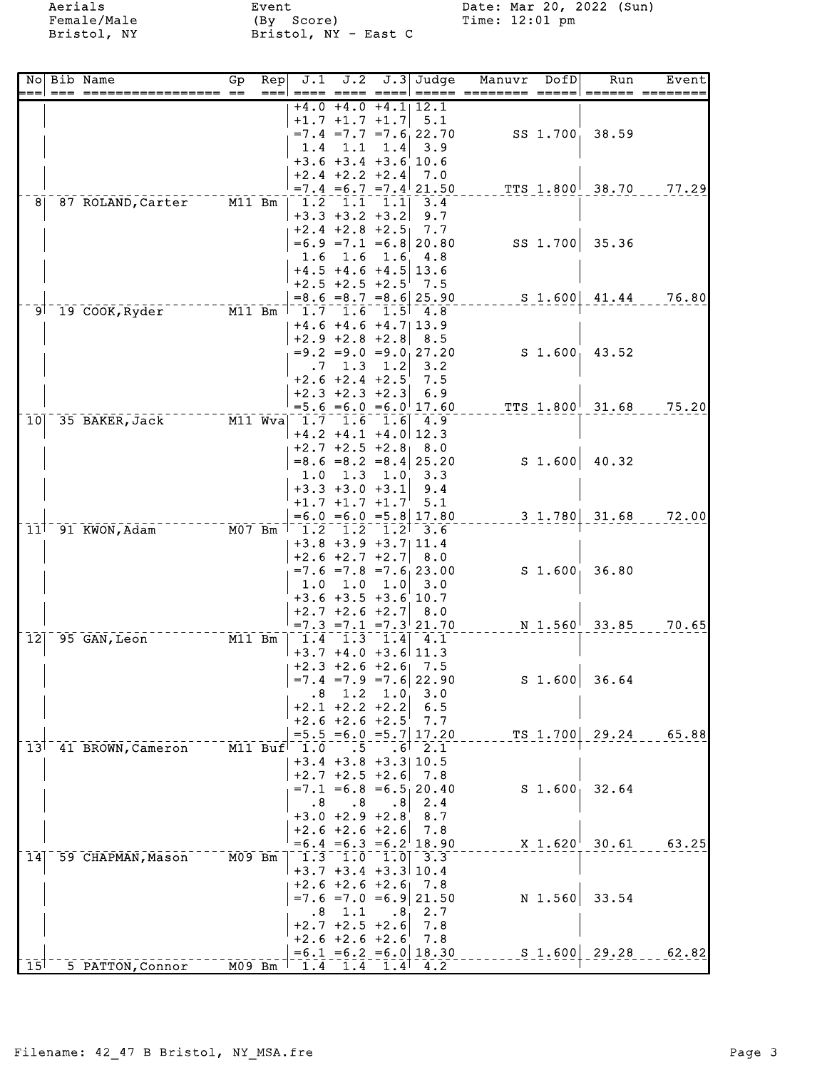Aerials Female/Male Bristol, NY Event<br>(By Score)<br>Bristol, NY - East C

Date: Mar 20, 2022 (Sun)<br>Time: 12:01 pm

| No<br>$=$       | Bib Name<br>=== =====             | GP<br>$=$              | Rep<br>$==$ | J.1                                        | J.2                                                                                                 |                  | $J.3$ Judge                                  | Manuvr | DofD               | Run                | Event |
|-----------------|-----------------------------------|------------------------|-------------|--------------------------------------------|-----------------------------------------------------------------------------------------------------|------------------|----------------------------------------------|--------|--------------------|--------------------|-------|
|                 |                                   |                        |             |                                            | $+4.0 +4.0 +4.1$                                                                                    |                  | 12.1                                         |        |                    |                    |       |
|                 |                                   |                        |             |                                            | $+1.7$ $+1.7$ $+1.7$                                                                                |                  | 5.1<br>$=7.4$ $=7.7$ $=7.6$ , 22.70          |        | SS 1.700           | 38.59              |       |
|                 |                                   |                        |             | 1.4                                        | 1.1                                                                                                 | 1.4              | 3.9                                          |        |                    |                    |       |
|                 |                                   |                        |             |                                            | $+3.6 +3.4 +3.6$ 10.6                                                                               |                  |                                              |        |                    |                    |       |
|                 |                                   |                        |             |                                            | $+2.4 +2.2 +2.4$                                                                                    |                  | 7.0                                          |        |                    |                    |       |
| 8               | 87 ROLAND, Carter                 | M11 Bm                 |             | $\overline{1.2}$                           | $\overline{1.1}$                                                                                    | 1.1              | $=7.4$ = 6.7 = 7.4 21.50<br>3.4              |        |                    | TTS 1.800 38.70    | 77.29 |
|                 |                                   |                        |             |                                            | $+3.3 +3.2 +3.2$                                                                                    |                  | 9.7                                          |        |                    |                    |       |
|                 |                                   |                        |             |                                            | $+2.4 +2.8 +2.5$                                                                                    |                  | 7.7                                          |        |                    |                    |       |
|                 |                                   |                        |             |                                            |                                                                                                     |                  | $=6.9$ =7.1 =6.8 20.80                       |        | SS 1.700           | 35.36              |       |
|                 |                                   |                        |             | 1.6                                        | 1.6<br>$+4.5 +4.6 +4.5$                                                                             |                  | $1.6 \quad 4.8$<br>13.6                      |        |                    |                    |       |
|                 |                                   |                        |             |                                            | $+2.5$ +2.5 +2.5                                                                                    |                  | 7.5                                          |        |                    |                    |       |
|                 |                                   |                        |             |                                            |                                                                                                     |                  | $= 8.6 = 8.7 = 8.6   25.90$                  |        |                    | $S$ 1.600 41.44    | 76.80 |
| ⊺ [9            | 19 COOK, Ryder                    |                        | $M11$ Bm    |                                            | $1.7$ $1.6$ $1.5$ $4.8$                                                                             |                  |                                              |        |                    |                    |       |
|                 |                                   |                        |             |                                            | $+4.6 +4.6 +4.7$ 13.9                                                                               |                  |                                              |        |                    |                    |       |
|                 |                                   |                        |             |                                            | $+2.9 +2.8 +2.8$                                                                                    |                  | 8.5<br>$= 9.2 = 9.0 = 9.0127.20$             |        |                    | 43.52              |       |
|                 |                                   |                        |             | .7                                         | 1.3                                                                                                 | 1.2              | 3.2                                          |        | $S_1.600_1$        |                    |       |
|                 |                                   |                        |             |                                            | $+2.6 +2.4 +2.5$                                                                                    |                  | 7.5                                          |        |                    |                    |       |
|                 |                                   |                        |             |                                            | $+2.3 +2.3 +2.3$                                                                                    |                  | 6.9                                          |        |                    |                    |       |
|                 |                                   |                        |             |                                            |                                                                                                     |                  | $=5.6 = 6.0 = 6.0$ 17.60                     |        | TTS 1.800          | 31.68              | 75.20 |
| 10 <sub>l</sub> | 35 BAKER, Jack                    |                        | $M11$ Wva   |                                            | $\overline{1.7}$ $\overline{1.6}$ $\overline{1}$<br>$+4.2 +4.1 +4.0$ 12.3                           | 1.6              | 4.9                                          |        |                    |                    |       |
|                 |                                   |                        |             |                                            | $+2.7 + 2.5 + 2.8$ 8.0                                                                              |                  |                                              |        |                    |                    |       |
|                 |                                   |                        |             |                                            |                                                                                                     |                  | $= 8.6 = 8.2 = 8.4   25.20$                  |        | S <sub>1.600</sub> | 40.32              |       |
|                 |                                   |                        |             | 1.0                                        | 1.3                                                                                                 | 1.0 <sub>1</sub> | 3.3                                          |        |                    |                    |       |
|                 |                                   |                        |             |                                            | $+3.3 +3.0 +3.1$                                                                                    |                  | 9.4                                          |        |                    |                    |       |
|                 |                                   |                        |             |                                            | $+1.7$ $+1.7$ $+1.7$                                                                                |                  | 5.1                                          |        |                    |                    |       |
| 11 <sup>1</sup> | 91 KWON, Adam                     | $-  \overline{M07}$ Bm |             | 1.2                                        | 1.2                                                                                                 | 1.2 <sup>1</sup> | $=6.0$ $=6.0$ $=5.8$ 17.80<br>3.6            |        |                    | $3\;1.780\,$ 31.68 | 72.00 |
|                 |                                   |                        |             |                                            | $+3.8$ +3.9 +3.7 11.4                                                                               |                  |                                              |        |                    |                    |       |
|                 |                                   |                        |             |                                            | $+2.6 +2.7 +2.7$                                                                                    |                  | 8.0                                          |        |                    |                    |       |
|                 |                                   |                        |             |                                            |                                                                                                     |                  | $=7.6 = 7.8 = 7.6$ , 23.00                   |        | $S_1.600_1$        | 36.80              |       |
|                 |                                   |                        |             | 1.0                                        | 1.0                                                                                                 | 1.0              | 3.0                                          |        |                    |                    |       |
|                 |                                   |                        |             |                                            | $+3.6 +3.5 +3.6$ 10.7<br>$+2.7 + 2.6 + 2.7$                                                         |                  | 8.0                                          |        |                    |                    |       |
|                 |                                   |                        |             |                                            |                                                                                                     |                  | $=7.3$ $=7.1$ $=7.3$ 21.70                   |        |                    | N 1.560 33.85      | 70.65 |
| 12              | 95 GAN, Leon                      | M11 Bm                 |             | $\overline{1.4}$                           | $\bar{1}\bar{.}\bar{3}$                                                                             |                  | $\overline{1.4}$ $\overline{4.1}$            |        |                    |                    |       |
|                 |                                   |                        |             |                                            | $+3.7 +4.0 +3.6$ 11.3                                                                               |                  |                                              |        |                    |                    |       |
|                 |                                   |                        |             |                                            | $+2.3 +2.6 +2.6$                                                                                    |                  | 7.5                                          |        |                    |                    |       |
|                 |                                   |                        |             | $\overline{\phantom{1}}\!\!\phantom{1}8$ . | 1.2                                                                                                 | 1.0 <sub>1</sub> | $=7.4$ $=7.9$ $=7.6$ 22.90<br>3.0            |        | $S$ 1.600          | 36.64              |       |
|                 |                                   |                        |             |                                            | $+2.1 +2.2 +2.2$                                                                                    |                  | 6.5                                          |        |                    |                    |       |
|                 |                                   |                        |             |                                            | $+2.6 +2.6 +2.5$                                                                                    |                  | 7.7                                          |        |                    |                    |       |
|                 |                                   |                        |             |                                            |                                                                                                     |                  | $=5.5 = 6.0 = 5.7   17.20$                   |        |                    | $TS$ 1.700 29.24   | 65.88 |
|                 | 13 <sup>1</sup> 41 BROWN, Cameron |                        |             | $M11$ Buf $1.0$                            | $\cdot$ 5                                                                                           | . 6              | 2.1                                          |        |                    |                    |       |
|                 |                                   |                        |             |                                            | $+3.4 +3.8 +3.3   10.5$<br>$+2.7$ $+2.5$ $+2.6$                                                     |                  | 7.8                                          |        |                    |                    |       |
|                 |                                   |                        |             |                                            |                                                                                                     |                  | $=7.1$ $=6.8$ $=6.5$ 20.40                   |        | S <sub>1.600</sub> | 32.64              |       |
|                 |                                   |                        |             | $\cdot$ 8                                  | $\cdot$ 8                                                                                           | $\cdot$ 8        | 2.4                                          |        |                    |                    |       |
|                 |                                   |                        |             |                                            | $+3.0 +2.9 +2.8$                                                                                    |                  | 8.7                                          |        |                    |                    |       |
|                 |                                   |                        |             |                                            | $+2.6 +2.6 +2.6$                                                                                    |                  | 7.8                                          |        |                    |                    |       |
| 14              | 59 CHAPMAN, Mason                 | $M09$ Bm               |             |                                            | $\left[\begin{smallmatrix} -1 & 3 & -1 & 0 & -1 & 0 \ 1 & 3 & -1 & 0 & -1 \end{smallmatrix}\right]$ |                  | $=6.4 = 6.3 = 6.2$ <sup> </sup> 18.90<br>3.3 |        |                    | $X$ 1.620 30.61    | 63.25 |
|                 |                                   |                        |             |                                            | $+3.7 +3.4 +3.3110.4$                                                                               |                  |                                              |        |                    |                    |       |
|                 |                                   |                        |             |                                            | $+2.6 + 2.6 + 2.6$ 7.8                                                                              |                  |                                              |        |                    |                    |       |
|                 |                                   |                        |             |                                            |                                                                                                     |                  | $=7.6$ $=7.0$ $=6.9$ 21.50                   |        | N 1.560            | 33.54              |       |
|                 |                                   |                        |             | . 8                                        | 1.1                                                                                                 | $\cdot$ 8,       | 2.7                                          |        |                    |                    |       |
|                 |                                   |                        |             |                                            | $+2.7 + 2.5 + 2.6$<br>$+2.6 +2.6 +2.6$                                                              |                  | 7.8<br>7.8                                   |        |                    |                    |       |
|                 |                                   |                        |             |                                            |                                                                                                     |                  | $=6.1$ $=6.2$ $=6.0$ 18.30                   |        | $S$ 1.600          | 29.28              | 62.82 |
| 15 <sup>1</sup> | 5 PATTON, Connor                  | MO9 Bm                 |             | 1.4                                        | 1.4                                                                                                 |                  | 4.2                                          |        |                    |                    |       |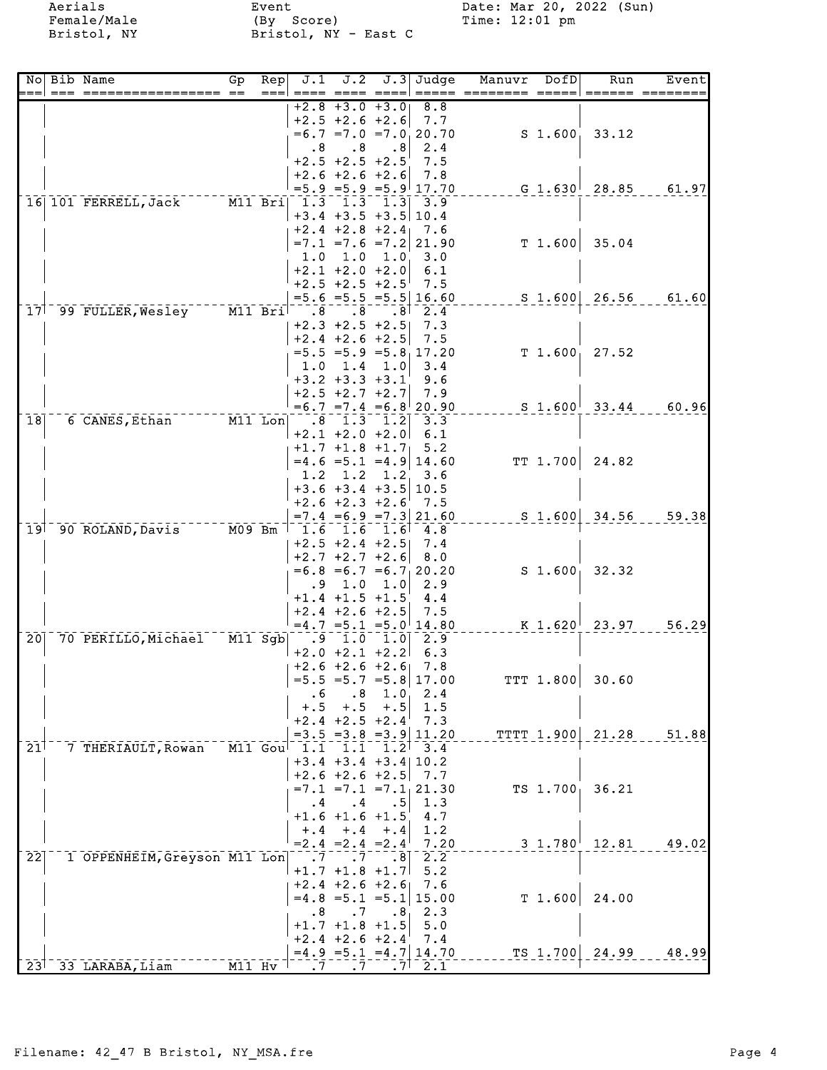Aerials Female/Male Bristol, NY Event<br>(By Score)<br>Bristol, NY - East C

Date: Mar 20, 2022 (Sun)<br>Time: 12:01 pm

| Nol                        | Bib Name                                    | Gp | $\overline{\text{Rep}}$<br>=== | J.1              | J.2                                             |                  | $J.3$ Judge                    | Manuvr | DofD       | Run                                            | Event                              |
|----------------------------|---------------------------------------------|----|--------------------------------|------------------|-------------------------------------------------|------------------|--------------------------------|--------|------------|------------------------------------------------|------------------------------------|
|                            |                                             |    |                                |                  | $+2.8 +3.0 +3.0$                                |                  | 8.8                            |        |            |                                                |                                    |
|                            |                                             |    |                                |                  | $+2.5 +2.6 +2.6$                                |                  | 7.7                            |        |            |                                                |                                    |
|                            |                                             |    |                                |                  |                                                 |                  | $=6.7$ $=7.0$ $=7.0$ 20.70     |        |            | $S$ 1.600 33.12                                |                                    |
|                            |                                             |    |                                | .8               | $\cdot$ 8<br>$+2.5 +2.5 +2.5$                   | $\cdot$ 8        | 2.4<br>7.5                     |        |            |                                                |                                    |
|                            |                                             |    |                                |                  | $+2.6 +2.6 +2.6$                                |                  | 7.8                            |        |            |                                                |                                    |
|                            |                                             |    |                                |                  |                                                 |                  | $=5.9$ $=5.9$ $=5.9$ 17.70     |        |            |                                                | G $1.630$ <sup> </sup> 28.85 61.97 |
|                            | 16 101 FERRELL, Jack M11 Bri 1.3 1.3 1.3    |    |                                |                  |                                                 |                  | 3.9                            |        |            |                                                |                                    |
|                            |                                             |    |                                |                  | $+3.4$ $+3.5$ $+3.5$ 10.4                       |                  |                                |        |            |                                                |                                    |
|                            |                                             |    |                                |                  | $+2.4 +2.8 +2.4$ 7.6                            |                  |                                |        |            |                                                |                                    |
|                            |                                             |    |                                |                  |                                                 |                  | $=7.1$ $=7.6$ $=7.2$ 21.90     |        | T 1.600    | 35.04                                          |                                    |
|                            |                                             |    |                                | 1.0              | 1.0<br>$+2.1 +2.0 +2.0$ 6.1                     |                  | 1.0, 3.0                       |        |            |                                                |                                    |
|                            |                                             |    |                                |                  | $+2.5$ $+2.5$ $+2.5$ 7.5                        |                  |                                |        |            |                                                |                                    |
|                            |                                             |    |                                |                  |                                                 |                  | $=5.6 = 5.5 = 5.5   16.60$     |        |            | $S\,1.600 \,26.56$                             | 61.60                              |
|                            | 17 99 FULLER, Wesley M11 Bril .8            |    |                                |                  | .8 <sub>1</sub>                                 |                  | $.8$ 2.4                       |        |            |                                                |                                    |
|                            |                                             |    |                                |                  | $+2.3 +2.5 +2.5$                                |                  | 7.3                            |        |            |                                                |                                    |
|                            |                                             |    |                                |                  | $+2.4$ +2.6 +2.5                                |                  | 7.5                            |        |            |                                                |                                    |
|                            |                                             |    |                                |                  |                                                 |                  | $=5.5 = 5.9 = 5.8 \pm 17.20$   |        |            | $T$ 1.600, 27.52                               |                                    |
|                            |                                             |    |                                |                  | $1.0$ $1.4$ $1.0$ $3.4$<br>$+3.2$ $+3.3$ $+3.1$ |                  | 9.6                            |        |            |                                                |                                    |
|                            |                                             |    |                                |                  | $+2.5 +2.7 +2.7$ 7.9                            |                  |                                |        |            |                                                |                                    |
|                            |                                             |    |                                |                  |                                                 |                  | $=6.7$ $=7.4$ $=6.8$ 20.90     |        |            |                                                | $S$ 1.600 33.44 60.96              |
| $\overline{18}$            | 6 CANES, Ethan M11 Lon 8 1.3 1.2            |    |                                |                  |                                                 |                  | 3.3                            |        |            |                                                |                                    |
|                            |                                             |    |                                |                  | $+2.1$ $+2.0$ $+2.0$                            |                  | 6.1                            |        |            |                                                |                                    |
|                            |                                             |    |                                |                  | $+1.7$ $+1.8$ $+1.7$ 5.2                        |                  |                                |        |            |                                                |                                    |
|                            |                                             |    |                                |                  |                                                 |                  | $=4.6$ = 5.1 = 4.9 14.60       |        | TT 1.700   | 24.82                                          |                                    |
|                            |                                             |    |                                | 1.2              | $+3.6 +3.4 +3.5   10.5$                         |                  | $1.2 \quad 1.2 \quad 3.6$      |        |            |                                                |                                    |
|                            |                                             |    |                                |                  | $+2.6 +2.3 +2.6$                                |                  | 7.5                            |        |            |                                                |                                    |
|                            |                                             |    |                                |                  |                                                 |                  | $=7.4$ $=6.9$ $=7.3$ 21.60     |        |            | $S$ 1.600 34.56                                | 59.38                              |
|                            | 19 90 ROLAND, Davis M09 Bm                  |    |                                | 1.6              | 1.6                                             |                  | $1.6$ <sup>7</sup> 4.8         |        |            |                                                |                                    |
|                            |                                             |    |                                |                  | $+2.5 +2.4 +2.5$ 7.4                            |                  |                                |        |            |                                                |                                    |
|                            |                                             |    |                                |                  | $+2.7$ $+2.7$ $+2.6$                            |                  | 8.0                            |        |            |                                                |                                    |
|                            |                                             |    |                                |                  |                                                 |                  | $=6.8 = 6.7 = 6.7 \cdot 20.20$ |        |            | $S$ 1.600 32.32                                |                                    |
|                            |                                             |    |                                |                  | $.9 \t1.0$<br>$+1.4$ $+1.5$ $+1.5$              | 1.0              | 2.9<br>4.4                     |        |            |                                                |                                    |
|                            |                                             |    |                                |                  | $+2.4$ $+2.6$ $+2.5$ 7.5                        |                  |                                |        |            |                                                |                                    |
|                            |                                             |    |                                |                  |                                                 |                  | $=4.7$ $=5.1$ $=5.0$ 14.80     |        |            | K 1.620 <sup>1</sup> 23.97                     | 56.29                              |
| 201                        | 70 PERILLO, Michael M11 Sgb  .9 1.0 1.0 2.9 |    |                                |                  |                                                 |                  |                                |        |            |                                                |                                    |
|                            |                                             |    |                                |                  | $+2.0 +2.1 +2.2$ 6.3                            |                  |                                |        |            |                                                |                                    |
|                            |                                             |    |                                |                  | $+2.6 + 2.6 + 2.6$ 7.8                          |                  |                                |        |            |                                                |                                    |
|                            |                                             |    |                                |                  |                                                 |                  | $=5.5 = 5.7 = 5.8   17.00$     |        | TTT 1.800  | 30.60                                          |                                    |
|                            |                                             |    |                                | . 6<br>$+.5$     | .8<br>$+.5$                                     | 1.0<br>$+ . 5$   | 2.4<br>1.5                     |        |            |                                                |                                    |
|                            |                                             |    |                                |                  | $+2.4 + 2.5 + 2.4$                              |                  | 7.3                            |        |            |                                                |                                    |
|                            |                                             |    |                                |                  |                                                 |                  | $=3.5$ $=3.8$ $=3.9$ 11.20     |        | TTTT 1.900 | 21.28                                          | 51.88                              |
| $21$ <sup>1</sup>          | 7 THERIAULT, Rowan                          |    |                                | $M11$ Goul $1.1$ | 1.1                                             | 1.2 <sup>1</sup> | 3.4                            |        |            |                                                |                                    |
|                            |                                             |    |                                |                  | $+3.4 +3.4 +3.4   10.2$                         |                  |                                |        |            |                                                |                                    |
|                            |                                             |    |                                |                  | $+2.6 +2.6 +2.5$                                |                  | 7.7                            |        |            |                                                |                                    |
|                            |                                             |    |                                |                  |                                                 |                  | $=7.1$ $=7.1$ $=7.1$ $21.30$   |        | $TS$ 1.700 | 36.21                                          |                                    |
|                            |                                             |    |                                | $\cdot$ 4        | $\cdot$ 4                                       | .5               | 1.3                            |        |            |                                                |                                    |
|                            |                                             |    |                                | $+, 4$           | $+1.6$ $+1.6$ $+1.5$<br>$+, 4$                  | $+ .4$           | $4.7\,$<br>1.2                 |        |            |                                                |                                    |
|                            |                                             |    |                                |                  | $= 2.4 = 2.4 = 2.4$                             |                  | 7.20                           |        |            | $3\;\,1.780$ <sup><math>\;\;12.81</math></sup> | 49.02                              |
| $\overline{2}\overline{2}$ | 1 OPPENHEIM, Greyson M11 Lon                |    |                                | $\cdot$ 7        | $\cdot$ 7                                       | .8               | 2.2                            |        |            |                                                |                                    |
|                            |                                             |    |                                |                  | $+1.7$ $+1.8$ $+1.7$                            |                  | 5.2                            |        |            |                                                |                                    |
|                            |                                             |    |                                |                  | $+2.4 +2.6 +2.6$                                |                  | 7.6                            |        |            |                                                |                                    |
|                            |                                             |    |                                |                  |                                                 |                  | $=4.8$ = 5.1 = 5.1 15.00       |        | T1.600     | 24.00                                          |                                    |
|                            |                                             |    |                                | $\cdot$ 8        | $\cdot$ 7<br>$+1.7$ $+1.8$ $+1.5$               | $\cdot$ 8        | 2.3<br>5.0                     |        |            |                                                |                                    |
|                            |                                             |    |                                |                  | $+2.4 +2.6 +2.4$                                |                  | 7.4                            |        |            |                                                |                                    |
|                            |                                             |    |                                |                  |                                                 |                  | $=4.9$ = 5.1 = 4.7   14.70     |        |            | TS 1.700 24.99                                 | 48.99                              |
|                            | $23^{\dagger}$ 33 LARABA, Liam M11 Hv       |    |                                |                  |                                                 |                  | 2.1                            |        |            |                                                |                                    |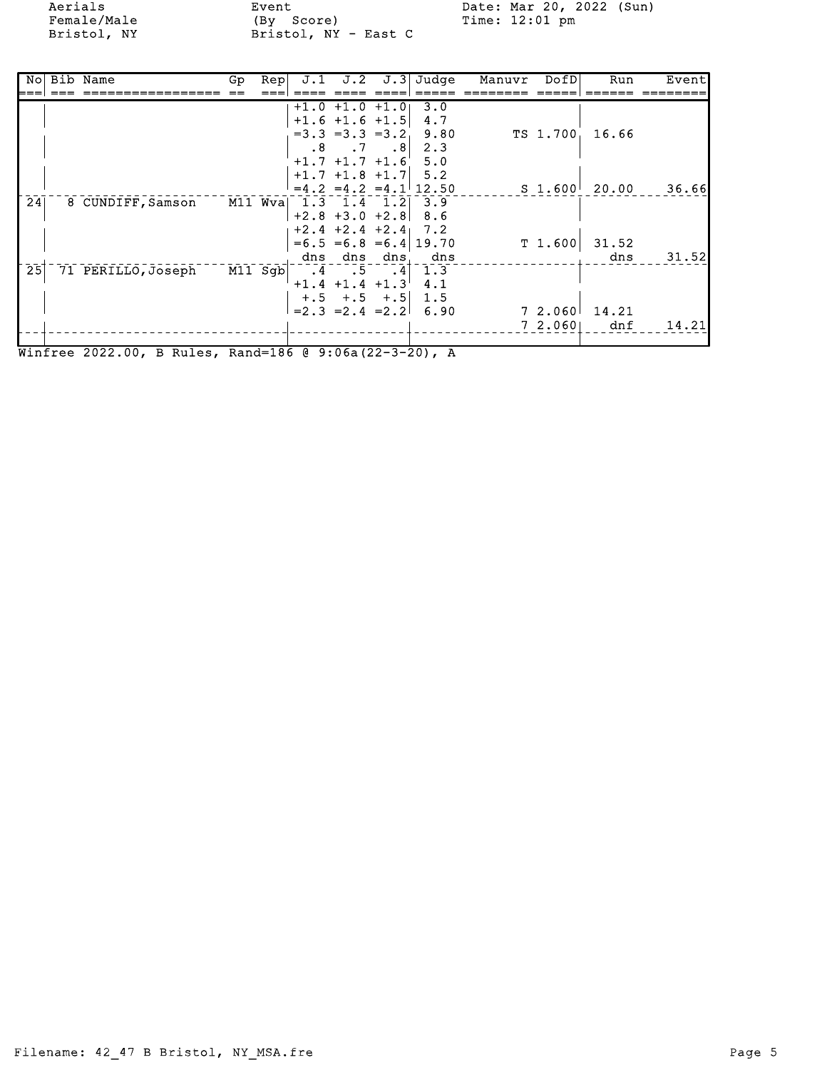Aerials Event Date: Mar 20, 2022 (Sun) Female/Male (By Score) Time: 12:01 pm Bristol, NY Bristol, NY - East C

| Nol | Bib Name           | Gp | Rep     | J.1       | J.2                  |             | $J.3$ Judge                | Manuvr | DofD     | Run             | Event |
|-----|--------------------|----|---------|-----------|----------------------|-------------|----------------------------|--------|----------|-----------------|-------|
|     |                    |    |         |           |                      |             |                            |        |          |                 |       |
|     |                    |    |         |           | $+1.0 +1.0 +1.0$     |             | 3.0                        |        |          |                 |       |
|     |                    |    |         |           | $+1.6$ $+1.6$ $+1.5$ |             | 4.7                        |        |          |                 |       |
|     |                    |    |         |           | $=3.3 = 3.3 = 3.2$   |             | 9.80                       |        | TS 1.700 | 16.66           |       |
|     |                    |    |         | $\cdot$ 8 | $\ddotsc$            | $\cdot$ . 8 | 2.3                        |        |          |                 |       |
|     |                    |    |         |           | $+1.7$ $+1.7$ $+1.6$ |             | 5.0                        |        |          |                 |       |
|     |                    |    |         |           | $+1.7$ $+1.8$ $+1.7$ |             | 5.2                        |        |          |                 |       |
|     |                    |    |         |           |                      |             | $=4.2$ $=4.2$ $=4.1$ 12.50 |        |          | $S$ 1.600 20.00 | 36.66 |
| 24  | 8 CUNDIFF, Samson  |    | M11 Wva |           | $1.3$ $1.4$ $1.2$    |             | 3.9                        |        |          |                 |       |
|     |                    |    |         |           | $+2.8 +3.0 +2.8$     |             | 8.6                        |        |          |                 |       |
|     |                    |    |         |           | $+2.4 + 2.4 + 2.4$   |             | 7.2                        |        |          |                 |       |
|     |                    |    |         |           |                      |             | $=6.5$ $=6.8$ $=6.4$ 19.70 |        | T 1.600  | 31.52           |       |
|     |                    |    |         |           | dns dns              | dns         | dns                        |        |          | dns             | 31.52 |
| 25  | 71 PERILLO, Joseph |    | M11 Sgb | $\cdot$ 4 | $\cdot$ 5            | $\cdot$ 4   | 1.3                        |        |          |                 |       |
|     |                    |    |         |           | $+1.4$ $+1.4$ $+1.3$ |             | 4.1                        |        |          |                 |       |
|     |                    |    |         |           | $+, 5$ $+, 5$ $+, 5$ |             | 1.5                        |        |          |                 |       |
|     |                    |    |         |           | $= 2.3 = 2.4 = 2.2$  |             | 6.90                       |        | 7 2.060  | 14.21           |       |
|     |                    |    |         |           |                      |             |                            |        | 72.060   | dnf             | 14.21 |
|     |                    |    |         |           |                      |             |                            |        |          |                 |       |

Winfree 2022.00, B Rules, Rand=186 @ 9:06a(22-3-20), A